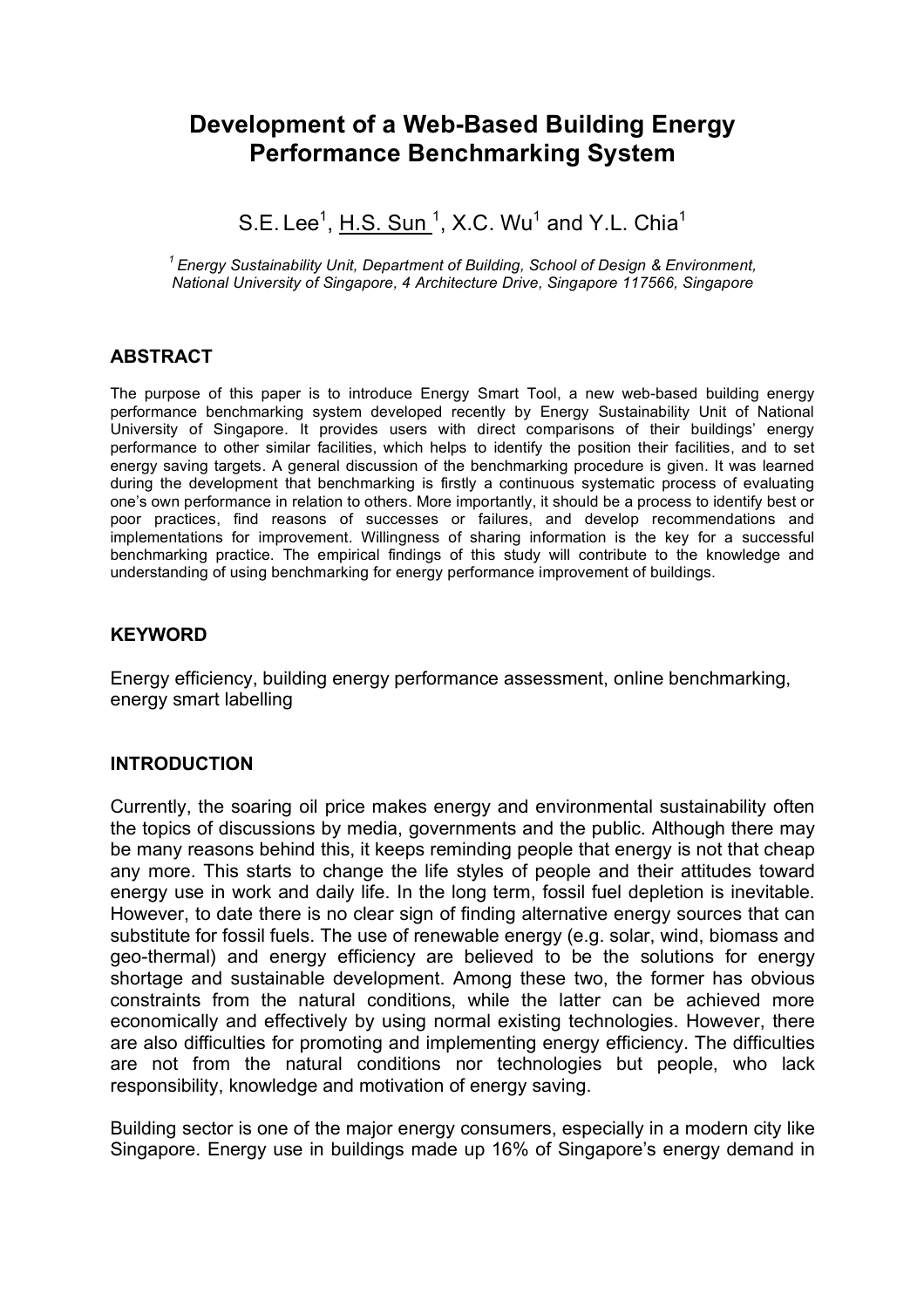# **Development of a Web-Based Building Energy Performance Benchmarking System**

S.E. Lee<sup>1</sup>,  $\underline{\mathsf{H.S.~Sun}}$ <sup>1</sup>, X.C. Wu<sup>1</sup> and Y.L. Chia<sup>1</sup>

*1 Energy Sustainability Unit, Department of Building, School of Design & Environment, National University of Singapore, 4 Architecture Drive, Singapore 117566, Singapore*

### **ABSTRACT**

The purpose of this paper is to introduce Energy Smart Tool, a new web-based building energy performance benchmarking system developed recently by Energy Sustainability Unit of National University of Singapore. It provides users with direct comparisons of their buildings' energy performance to other similar facilities, which helps to identify the position their facilities, and to set energy saving targets. A general discussion of the benchmarking procedure is given. It was learned during the development that benchmarking is firstly a continuous systematic process of evaluating one's own performance in relation to others. More importantly, it should be a process to identify best or poor practices, find reasons of successes or failures, and develop recommendations and implementations for improvement. Willingness of sharing information is the key for a successful benchmarking practice. The empirical findings of this study will contribute to the knowledge and understanding of using benchmarking for energy performance improvement of buildings.

### **KEYWORD**

Energy efficiency, building energy performance assessment, online benchmarking, energy smart labelling

### **INTRODUCTION**

Currently, the soaring oil price makes energy and environmental sustainability often the topics of discussions by media, governments and the public. Although there may be many reasons behind this, it keeps reminding people that energy is not that cheap any more. This starts to change the life styles of people and their attitudes toward energy use in work and daily life. In the long term, fossil fuel depletion is inevitable. However, to date there is no clear sign of finding alternative energy sources that can substitute for fossil fuels. The use of renewable energy (e.g. solar, wind, biomass and geo-thermal) and energy efficiency are believed to be the solutions for energy shortage and sustainable development. Among these two, the former has obvious constraints from the natural conditions, while the latter can be achieved more economically and effectively by using normal existing technologies. However, there are also difficulties for promoting and implementing energy efficiency. The difficulties are not from the natural conditions nor technologies but people, who lack responsibility, knowledge and motivation of energy saving.

Building sector is one of the major energy consumers, especially in a modern city like Singapore. Energy use in buildings made up 16% of Singapore's energy demand in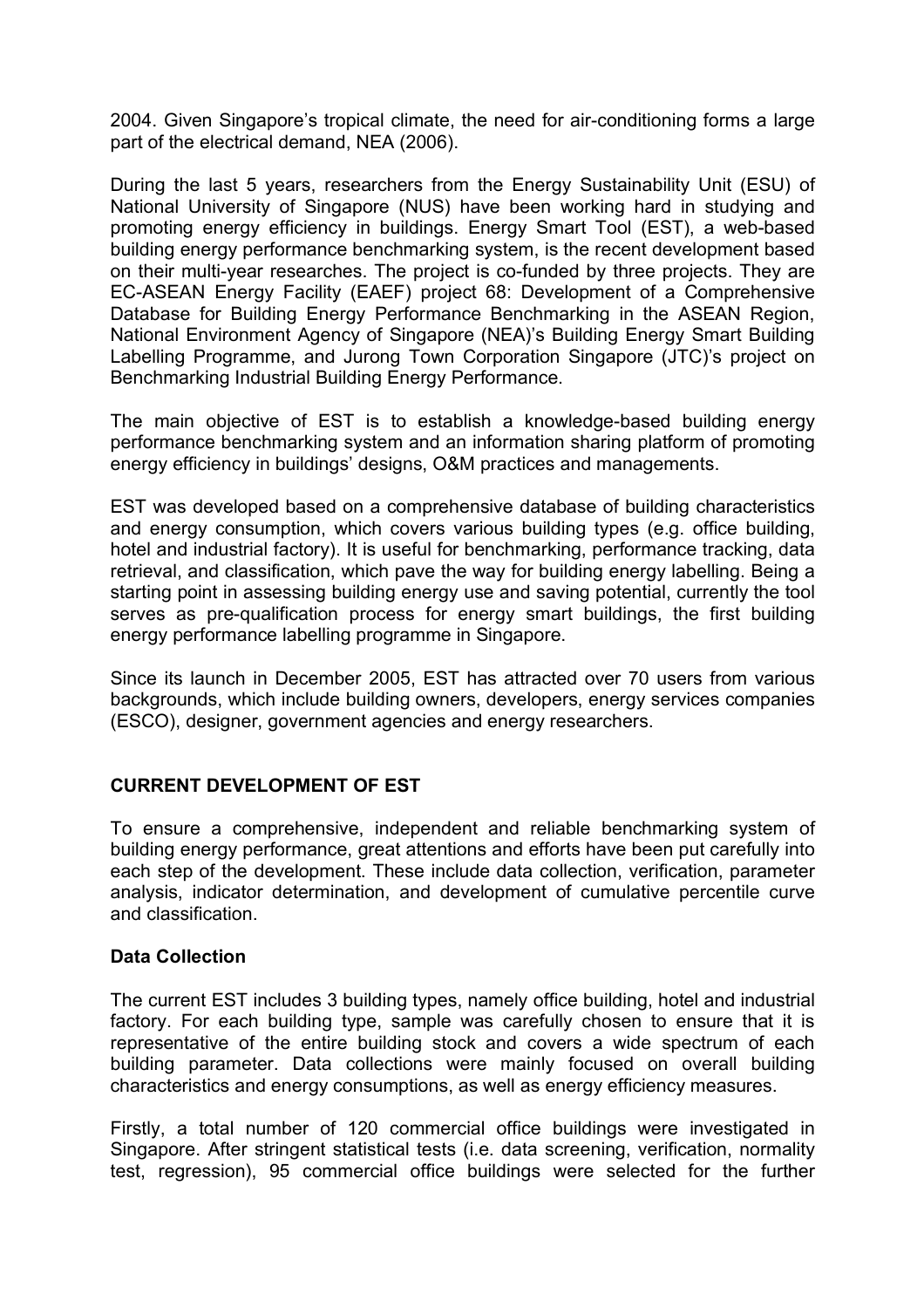2004. Given Singapore's tropical climate, the need for air-conditioning forms a large part of the electrical demand, NEA (2006).

During the last 5 years, researchers from the Energy Sustainability Unit (ESU) of National University of Singapore (NUS) have been working hard in studying and promoting energy efficiency in buildings. Energy Smart Tool (EST), a web-based building energy performance benchmarking system, is the recent development based on their multi-year researches. The project is co-funded by three projects. They are EC-ASEAN Energy Facility (EAEF) project 68: Development of a Comprehensive Database for Building Energy Performance Benchmarking in the ASEAN Region, National Environment Agency of Singapore (NEA)'s Building Energy Smart Building Labelling Programme, and Jurong Town Corporation Singapore (JTC)'s project on Benchmarking Industrial Building Energy Performance.

The main objective of EST is to establish a knowledge-based building energy performance benchmarking system and an information sharing platform of promoting energy efficiency in buildings' designs, O&M practices and managements.

EST was developed based on a comprehensive database of building characteristics and energy consumption, which covers various building types (e.g. office building, hotel and industrial factory). It is useful for benchmarking, performance tracking, data retrieval, and classification, which pave the way for building energy labelling. Being a starting point in assessing building energy use and saving potential, currently the tool serves as pre-qualification process for energy smart buildings, the first building energy performance labelling programme in Singapore.

Since its launch in December 2005, EST has attracted over 70 users from various backgrounds, which include building owners, developers, energy services companies (ESCO), designer, government agencies and energy researchers.

# **CURRENT DEVELOPMENT OF EST**

To ensure a comprehensive, independent and reliable benchmarking system of building energy performance, great attentions and efforts have been put carefully into each step of the development. These include data collection, verification, parameter analysis, indicator determination, and development of cumulative percentile curve and classification.

### **Data Collection**

The current EST includes 3 building types, namely office building, hotel and industrial factory. For each building type, sample was carefully chosen to ensure that it is representative of the entire building stock and covers a wide spectrum of each building parameter. Data collections were mainly focused on overall building characteristics and energy consumptions, as well as energy efficiency measures.

Firstly, a total number of 120 commercial office buildings were investigated in Singapore. After stringent statistical tests (i.e. data screening, verification, normality test, regression), 95 commercial office buildings were selected for the further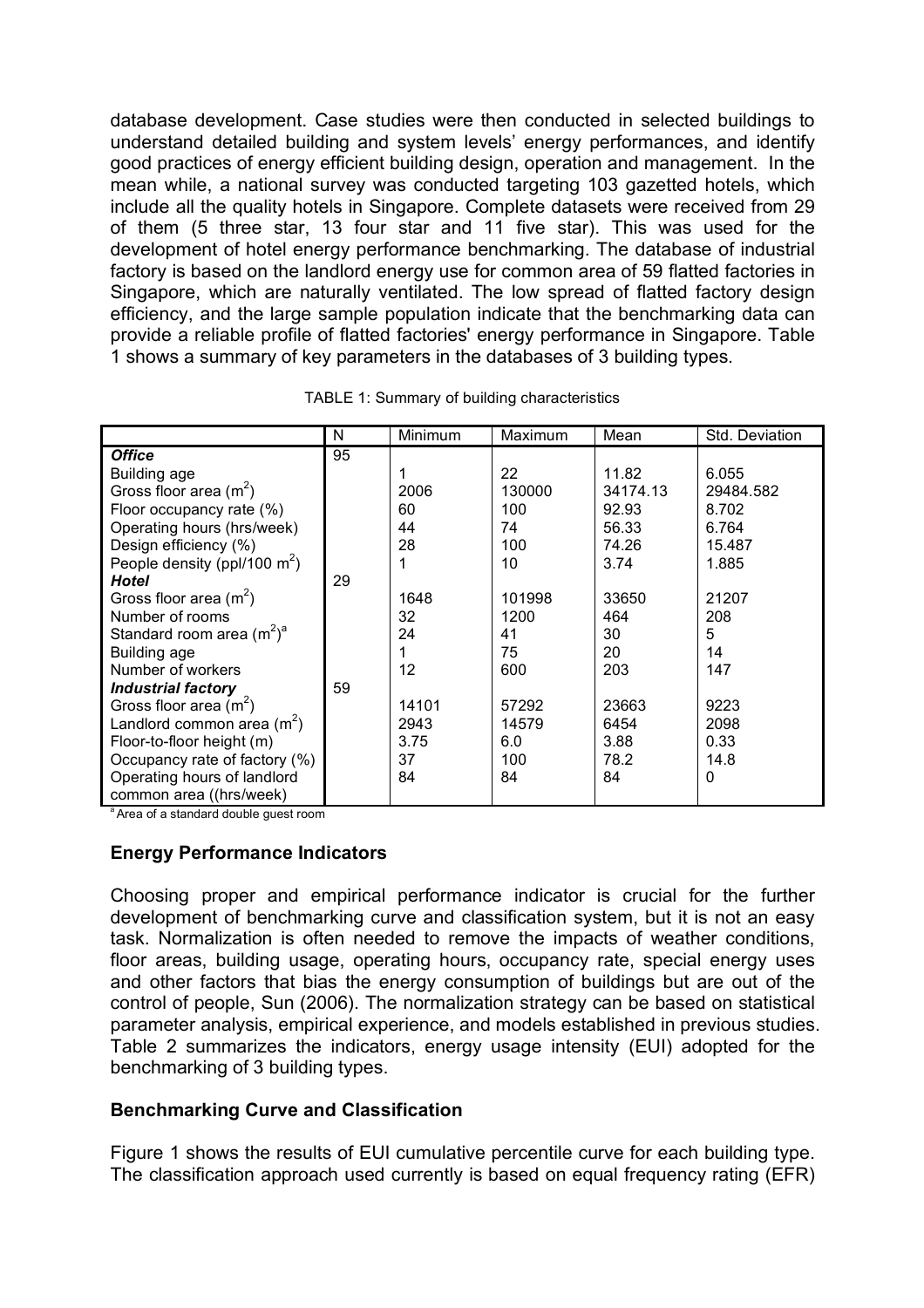database development. Case studies were then conducted in selected buildings to understand detailed building and system levels' energy performances, and identify good practices of energy efficient building design, operation and management. In the mean while, a national survey was conducted targeting 103 gazetted hotels, which include all the quality hotels in Singapore. Complete datasets were received from 29 of them (5 three star, 13 four star and 11 five star). This was used for the development of hotel energy performance benchmarking. The database of industrial factory is based on the landlord energy use for common area of 59 flatted factories in Singapore, which are naturally ventilated. The low spread of flatted factory design efficiency, and the large sample population indicate that the benchmarking data can provide a reliable profile of flatted factories' energy performance in Singapore. Table 1 shows a summary of key parameters in the databases of 3 building types.

|                                 | N  | Minimum | Maximum | Mean     | Std. Deviation |
|---------------------------------|----|---------|---------|----------|----------------|
| <b>Office</b>                   | 95 |         |         |          |                |
| Building age                    |    |         | 22      | 11.82    | 6.055          |
| Gross floor area $(m2)$         |    | 2006    | 130000  | 34174.13 | 29484.582      |
| Floor occupancy rate (%)        |    | 60      | 100     | 92.93    | 8.702          |
| Operating hours (hrs/week)      |    | 44      | 74      | 56.33    | 6.764          |
| Design efficiency (%)           |    | 28      | 100     | 74.26    | 15.487         |
| People density (ppl/100 $m^2$ ) |    |         | 10      | 3.74     | 1.885          |
| <b>Hotel</b>                    | 29 |         |         |          |                |
| Gross floor area $(m^2)$        |    | 1648    | 101998  | 33650    | 21207          |
| Number of rooms                 |    | 32      | 1200    | 464      | 208            |
| Standard room area $(m^2)^a$    |    | 24      | 41      | 30       | 5              |
| Building age                    |    |         | 75      | 20       | 14             |
| Number of workers               |    | 12      | 600     | 203      | 147            |
| <b>Industrial factory</b>       | 59 |         |         |          |                |
| Gross floor area $(m2)$         |    | 14101   | 57292   | 23663    | 9223           |
| Landlord common area $(m^2)$    |    | 2943    | 14579   | 6454     | 2098           |
| Floor-to-floor height (m)       |    | 3.75    | 6.0     | 3.88     | 0.33           |
| Occupancy rate of factory (%)   |    | 37      | 100     | 78.2     | 14.8           |
| Operating hours of landlord     |    | 84      | 84      | 84       | 0              |
| common area ((hrs/week)         |    |         |         |          |                |

TABLE 1: Summary of building characteristics

<sup>a</sup> Area of a standard double guest room

### **Energy Performance Indicators**

Choosing proper and empirical performance indicator is crucial for the further development of benchmarking curve and classification system, but it is not an easy task. Normalization is often needed to remove the impacts of weather conditions, floor areas, building usage, operating hours, occupancy rate, special energy uses and other factors that bias the energy consumption of buildings but are out of the control of people, Sun (2006). The normalization strategy can be based on statistical parameter analysis, empirical experience, and models established in previous studies. Table 2 summarizes the indicators, energy usage intensity (EUI) adopted for the benchmarking of 3 building types.

### **Benchmarking Curve and Classification**

Figure 1 shows the results of EUI cumulative percentile curve for each building type. The classification approach used currently is based on equal frequency rating (EFR)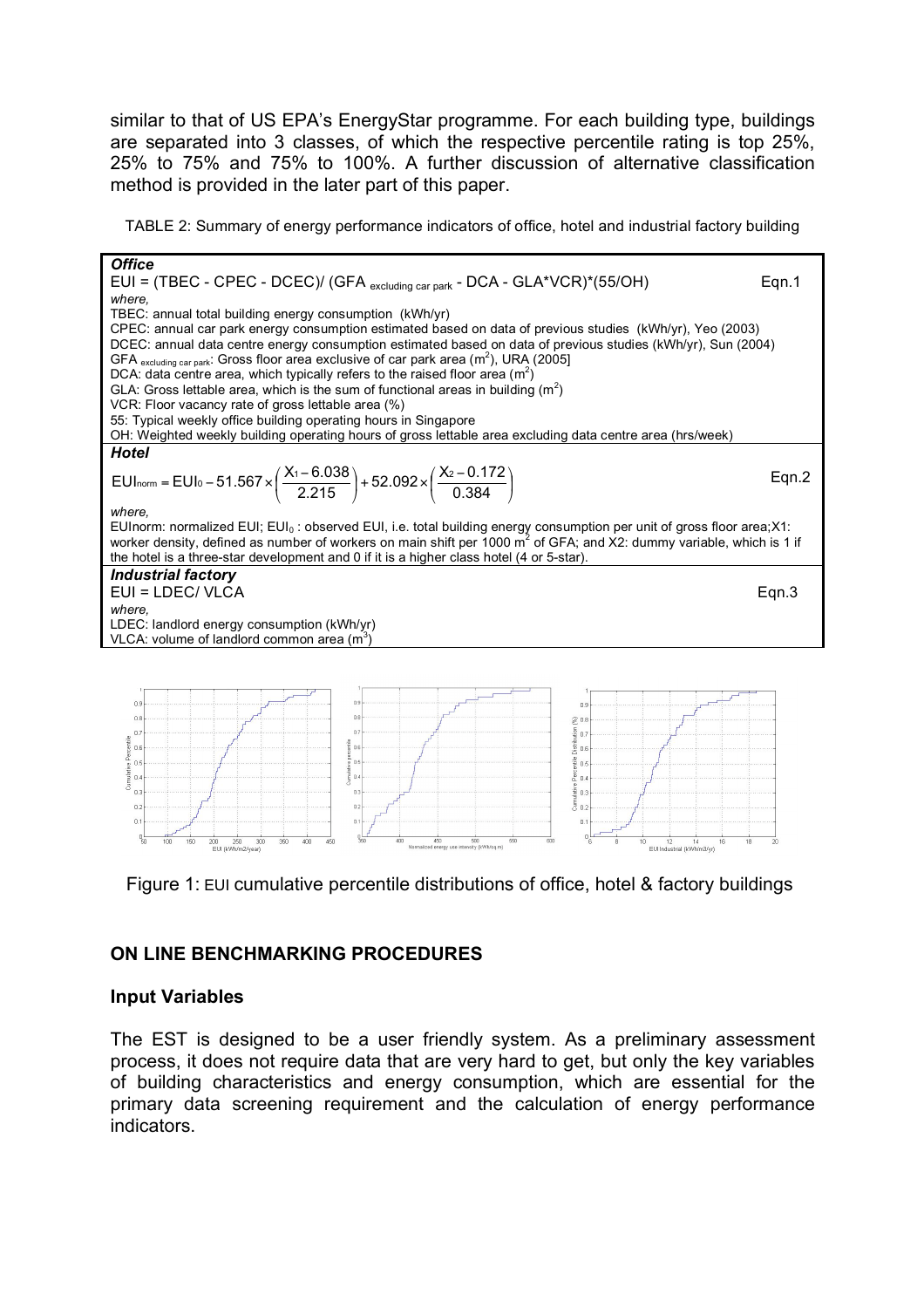similar to that of US EPA's EnergyStar programme. For each building type, buildings are separated into 3 classes, of which the respective percentile rating is top 25%, 25% to 75% and 75% to 100%. A further discussion of alternative classification method is provided in the later part of this paper.

TABLE 2: Summary of energy performance indicators of office, hotel and industrial factory building



Figure 1: EUI cumulative percentile distributions of office, hotel & factory buildings

### **ON LINE BENCHMARKING PROCEDURES**

### **Input Variables**

The EST is designed to be a user friendly system. As a preliminary assessment process, it does not require data that are very hard to get, but only the key variables of building characteristics and energy consumption, which are essential for the primary data screening requirement and the calculation of energy performance indicators.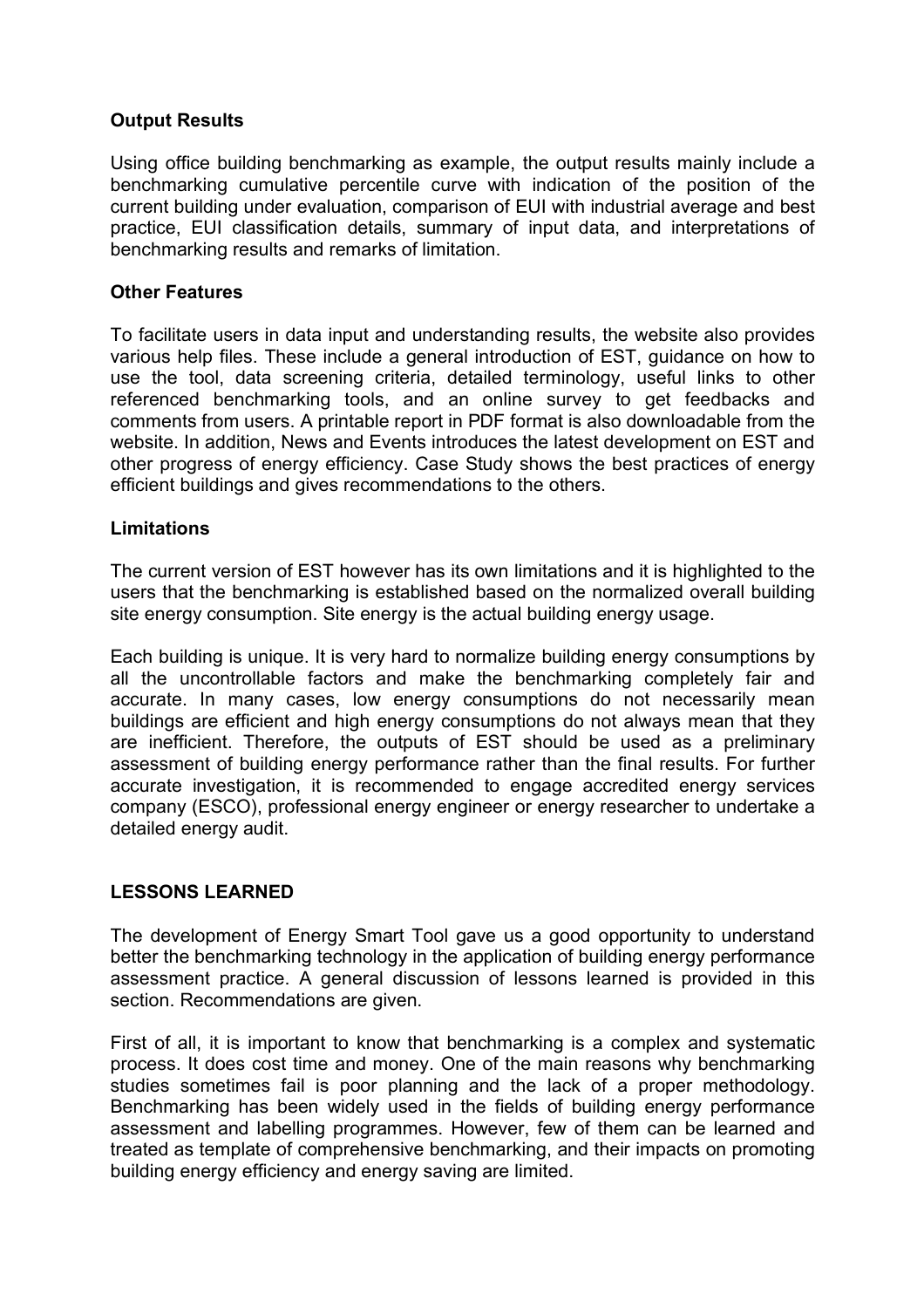### **Output Results**

Using office building benchmarking as example, the output results mainly include a benchmarking cumulative percentile curve with indication of the position of the current building under evaluation, comparison of EUI with industrial average and best practice, EUI classification details, summary of input data, and interpretations of benchmarking results and remarks of limitation.

### **Other Features**

To facilitate users in data input and understanding results, the website also provides various help files. These include a general introduction of EST, guidance on how to use the tool, data screening criteria, detailed terminology, useful links to other referenced benchmarking tools, and an online survey to get feedbacks and comments from users. A printable report in PDF format is also downloadable from the website. In addition, News and Events introduces the latest development on EST and other progress of energy efficiency. Case Study shows the best practices of energy efficient buildings and gives recommendations to the others.

### **Limitations**

The current version of EST however has its own limitations and it is highlighted to the users that the benchmarking is established based on the normalized overall building site energy consumption. Site energy is the actual building energy usage.

Each building is unique. It is very hard to normalize building energy consumptions by all the uncontrollable factors and make the benchmarking completely fair and accurate. In many cases, low energy consumptions do not necessarily mean buildings are efficient and high energy consumptions do not always mean that they are inefficient. Therefore, the outputs of EST should be used as a preliminary assessment of building energy performance rather than the final results. For further accurate investigation, it is recommended to engage accredited energy services company (ESCO), professional energy engineer or energy researcher to undertake a detailed energy audit.

# **LESSONS LEARNED**

The development of Energy Smart Tool gave us a good opportunity to understand better the benchmarking technology in the application of building energy performance assessment practice. A general discussion of lessons learned is provided in this section. Recommendations are given.

First of all, it is important to know that benchmarking is a complex and systematic process. It does cost time and money. One of the main reasons why benchmarking studies sometimes fail is poor planning and the lack of a proper methodology. Benchmarking has been widely used in the fields of building energy performance assessment and labelling programmes. However, few of them can be learned and treated as template of comprehensive benchmarking, and their impacts on promoting building energy efficiency and energy saving are limited.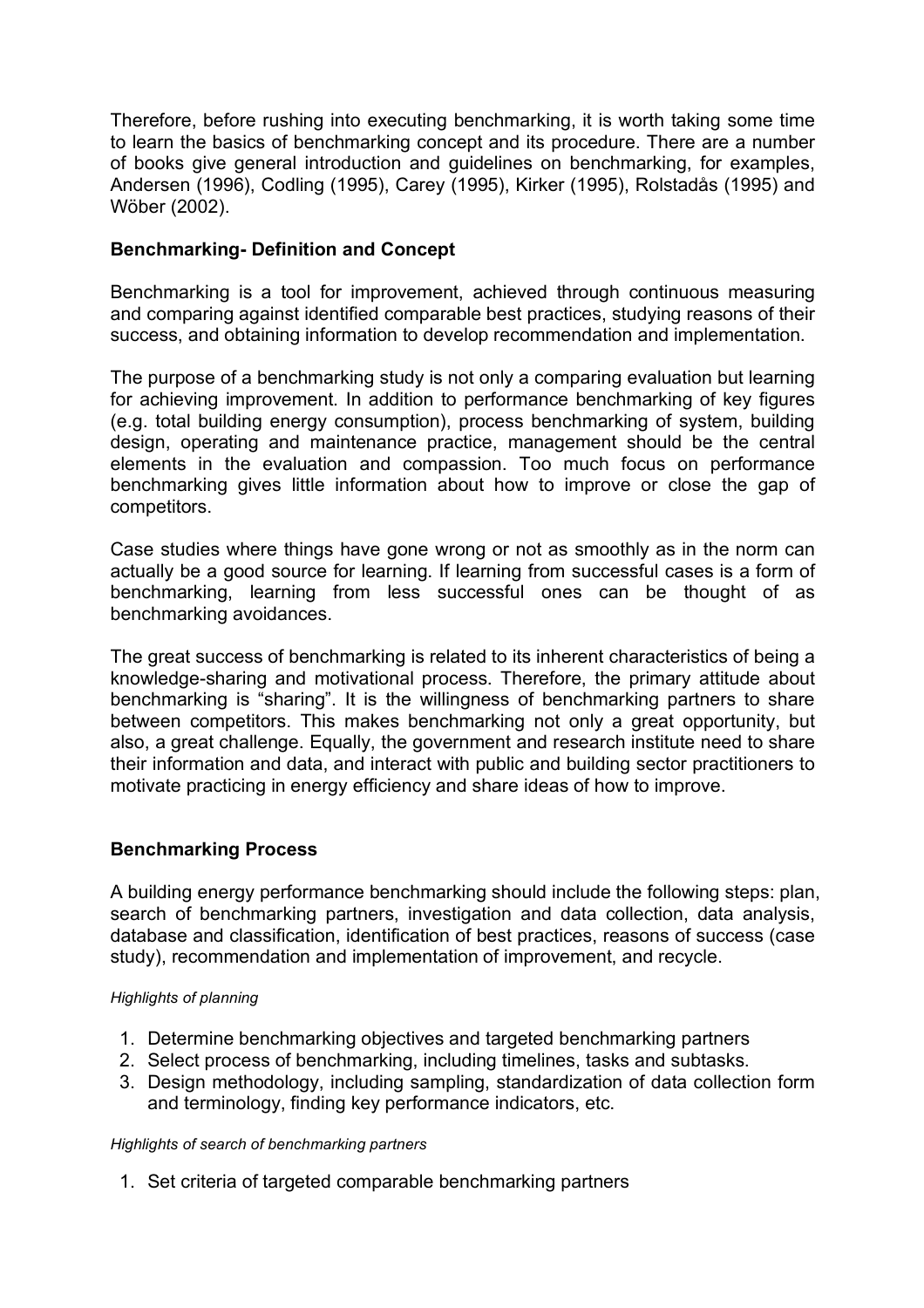Therefore, before rushing into executing benchmarking, it is worth taking some time to learn the basics of benchmarking concept and its procedure. There are a number of books give general introduction and guidelines on benchmarking, for examples, Andersen (1996), Codling (1995), Carey (1995), Kirker (1995), Rolstadås (1995) and Wöber (2002).

### **Benchmarking- Definition and Concept**

Benchmarking is a tool for improvement, achieved through continuous measuring and comparing against identified comparable best practices, studying reasons of their success, and obtaining information to develop recommendation and implementation.

The purpose of a benchmarking study is not only a comparing evaluation but learning for achieving improvement. In addition to performance benchmarking of key figures (e.g. total building energy consumption), process benchmarking of system, building design, operating and maintenance practice, management should be the central elements in the evaluation and compassion. Too much focus on performance benchmarking gives little information about how to improve or close the gap of competitors.

Case studies where things have gone wrong or not as smoothly as in the norm can actually be a good source for learning. If learning from successful cases is a form of benchmarking, learning from less successful ones can be thought of as benchmarking avoidances.

The great success of benchmarking is related to its inherent characteristics of being a knowledge-sharing and motivational process. Therefore, the primary attitude about benchmarking is "sharing". It is the willingness of benchmarking partners to share between competitors. This makes benchmarking not only a great opportunity, but also, a great challenge. Equally, the government and research institute need to share their information and data, and interact with public and building sector practitioners to motivate practicing in energy efficiency and share ideas of how to improve.

### **Benchmarking Process**

A building energy performance benchmarking should include the following steps: plan, search of benchmarking partners, investigation and data collection, data analysis, database and classification, identification of best practices, reasons of success (case study), recommendation and implementation of improvement, and recycle.

### *Highlights of planning*

- 1. Determine benchmarking objectives and targeted benchmarking partners
- 2. Select process of benchmarking, including timelines, tasks and subtasks.
- 3. Design methodology, including sampling, standardization of data collection form and terminology, finding key performance indicators, etc.

### *Highlights of search of benchmarking partners*

1. Set criteria of targeted comparable benchmarking partners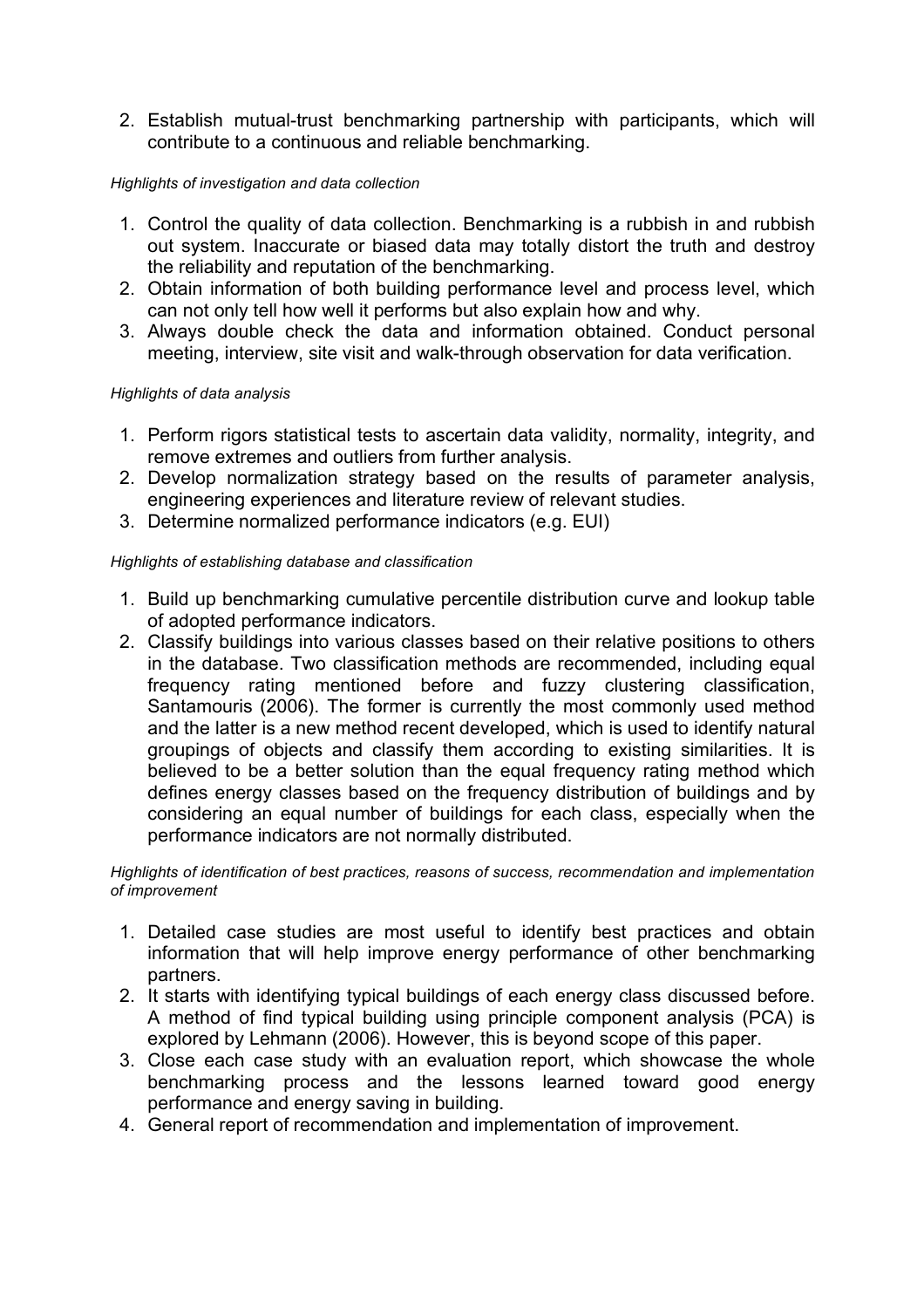2. Establish mutual-trust benchmarking partnership with participants, which will contribute to a continuous and reliable benchmarking.

### *Highlights of investigation and data collection*

- 1. Control the quality of data collection. Benchmarking is a rubbish in and rubbish out system. Inaccurate or biased data may totally distort the truth and destroy the reliability and reputation of the benchmarking.
- 2. Obtain information of both building performance level and process level, which can not only tell how well it performs but also explain how and why.
- 3. Always double check the data and information obtained. Conduct personal meeting, interview, site visit and walk-through observation for data verification.

### *Highlights of data analysis*

- 1. Perform rigors statistical tests to ascertain data validity, normality, integrity, and remove extremes and outliers from further analysis.
- 2. Develop normalization strategy based on the results of parameter analysis, engineering experiences and literature review of relevant studies.
- 3. Determine normalized performance indicators (e.g. EUI)

### *Highlights of establishing database and classification*

- 1. Build up benchmarking cumulative percentile distribution curve and lookup table of adopted performance indicators.
- 2. Classify buildings into various classes based on their relative positions to others in the database. Two classification methods are recommended, including equal frequency rating mentioned before and fuzzy clustering classification, Santamouris (2006). The former is currently the most commonly used method and the latter is a new method recent developed, which is used to identify natural groupings of objects and classify them according to existing similarities. It is believed to be a better solution than the equal frequency rating method which defines energy classes based on the frequency distribution of buildings and by considering an equal number of buildings for each class, especially when the performance indicators are not normally distributed.

#### *Highlights of identification of best practices, reasons of success, recommendation and implementation of improvement*

- 1. Detailed case studies are most useful to identify best practices and obtain information that will help improve energy performance of other benchmarking partners.
- 2. It starts with identifying typical buildings of each energy class discussed before. A method of find typical building using principle component analysis (PCA) is explored by Lehmann (2006). However, this is beyond scope of this paper.
- 3. Close each case study with an evaluation report, which showcase the whole benchmarking process and the lessons learned toward good energy performance and energy saving in building.
- 4. General report of recommendation and implementation of improvement.